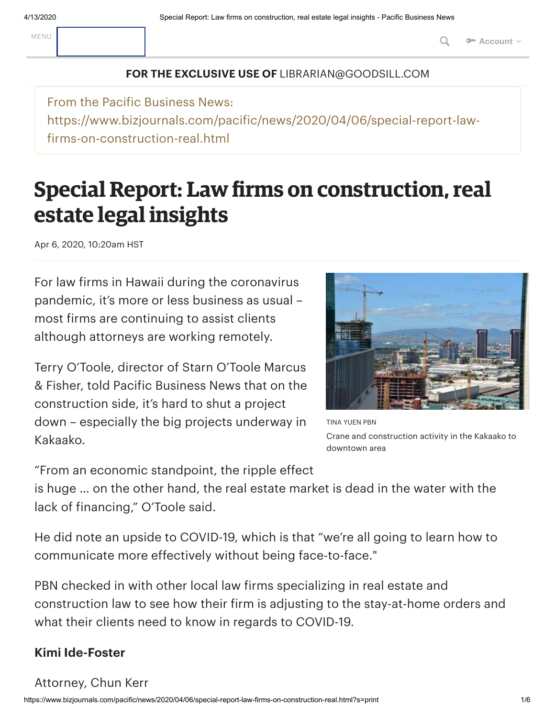#### **FOR THE EXCLUSIVE USE OF** LIBRARIAN@GOODSILL.COM

From the Pacific Business News: https://www.bizjournals.com/pacific/news/2020/04/06/special-report-lawfirms-on-construction-real.html

# **Special Report: Law firms on construction, real estate legal insights**

Apr 6, 2020, 10:20am HST

For law firms in Hawaii during the coronavirus pandemic, it's more or less business as usual – most firms are continuing to assist clients although attorneys are working remotely.

Terry O'Toole, director of Starn O'Toole Marcus & Fisher, told Pacific Business News that on the construction side, it's hard to shut a project down – especially the big projects underway in Kakaako.



TINA YUEN PBN Crane and construction activity in the Kakaako to downtown area

"From an economic standpoint, the ripple effect

is huge … on the other hand, the real estate market is dead in the water with the lack of financing," O'Toole said.

He did note an upside to COVID-19, which is that "we're all going to learn how to communicate more effectively without being face-to-face."

PBN checked in with other local law firms specializing in real estate and construction law to see how their firm is adjusting to the stay-at-home orders and what their clients need to know in regards to COVID-19.

#### **Kimi Ide-Foster**

#### Attorney, Chun Kerr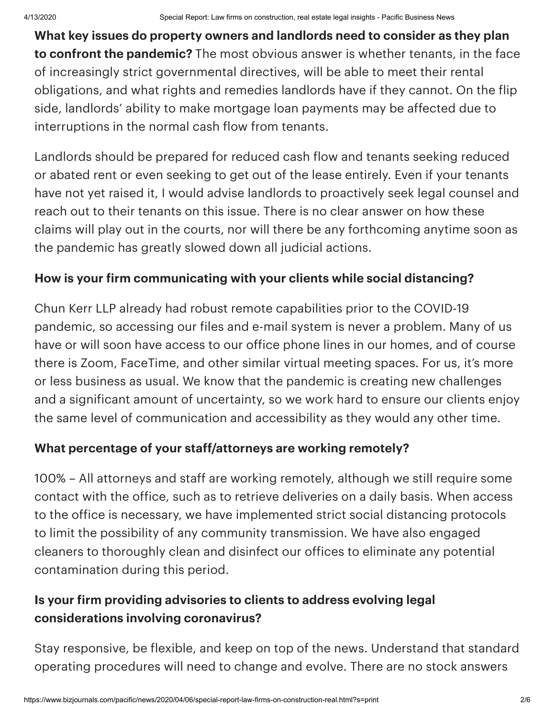**What key issues do property owners and landlords need to consider as they plan to confront the pandemic?** The most obvious answer is whether tenants, in the face of increasingly strict governmental directives, will be able to meet their rental obligations, and what rights and remedies landlords have if they cannot. On the flip side, landlords' ability to make mortgage loan payments may be affected due to interruptions in the normal cash flow from tenants.

Landlords should be prepared for reduced cash flow and tenants seeking reduced or abated rent or even seeking to get out of the lease entirely. Even if your tenants have not yet raised it, I would advise landlords to proactively seek legal counsel and reach out to their tenants on this issue. There is no clear answer on how these claims will play out in the courts, nor will there be any forthcoming anytime soon as the pandemic has greatly slowed down all judicial actions.

## **How is your firm communicating with your clients while social distancing?**

Chun Kerr LLP already had robust remote capabilities prior to the COVID-19 pandemic, so accessing our files and e-mail system is never a problem. Many of us have or will soon have access to our office phone lines in our homes, and of course there is Zoom, FaceTime, and other similar virtual meeting spaces. For us, it's more or less business as usual. We know that the pandemic is creating new challenges and a significant amount of uncertainty, so we work hard to ensure our clients enjoy the same level of communication and accessibility as they would any other time.

## **What percentage of your staff/attorneys are working remotely?**

100% – All attorneys and staff are working remotely, although we still require some contact with the office, such as to retrieve deliveries on a daily basis. When access to the office is necessary, we have implemented strict social distancing protocols to limit the possibility of any community transmission. We have also engaged cleaners to thoroughly clean and disinfect our offices to eliminate any potential contamination during this period.

# **Is your firm providing advisories to clients to address evolving legal considerations involving coronavirus?**

Stay responsive, be flexible, and keep on top of the news. Understand that standard operating procedures will need to change and evolve. There are no stock answers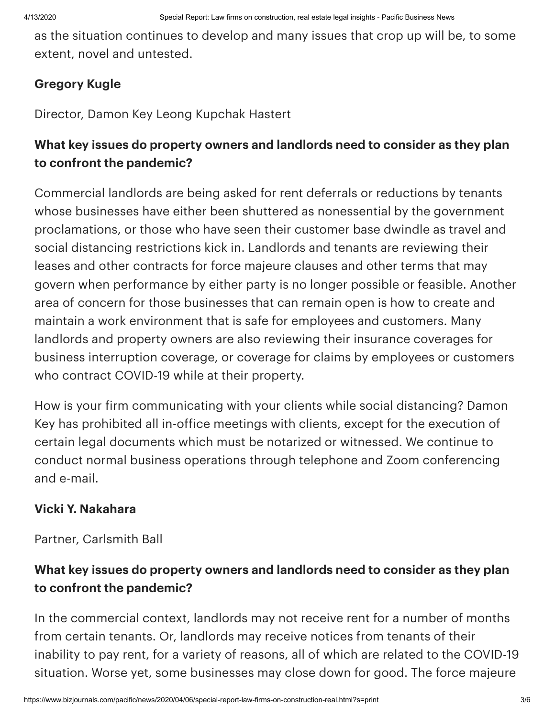as the situation continues to develop and many issues that crop up will be, to some extent, novel and untested.

## **Gregory Kugle**

Director, Damon Key Leong Kupchak Hastert

# **What key issues do property owners and landlords need to consider as they plan to confront the pandemic?**

Commercial landlords are being asked for rent deferrals or reductions by tenants whose businesses have either been shuttered as nonessential by the government proclamations, or those who have seen their customer base dwindle as travel and social distancing restrictions kick in. Landlords and tenants are reviewing their leases and other contracts for force majeure clauses and other terms that may govern when performance by either party is no longer possible or feasible. Another area of concern for those businesses that can remain open is how to create and maintain a work environment that is safe for employees and customers. Many landlords and property owners are also reviewing their insurance coverages for business interruption coverage, or coverage for claims by employees or customers who contract COVID-19 while at their property.

How is your firm communicating with your clients while social distancing? Damon Key has prohibited all in-office meetings with clients, except for the execution of certain legal documents which must be notarized or witnessed. We continue to conduct normal business operations through telephone and Zoom conferencing and e-mail.

## **Vicki Y. Nakahara**

Partner, Carlsmith Ball

# **What key issues do property owners and landlords need to consider as they plan to confront the pandemic?**

In the commercial context, landlords may not receive rent for a number of months from certain tenants. Or, landlords may receive notices from tenants of their inability to pay rent, for a variety of reasons, all of which are related to the COVID-19 situation. Worse yet, some businesses may close down for good. The force majeure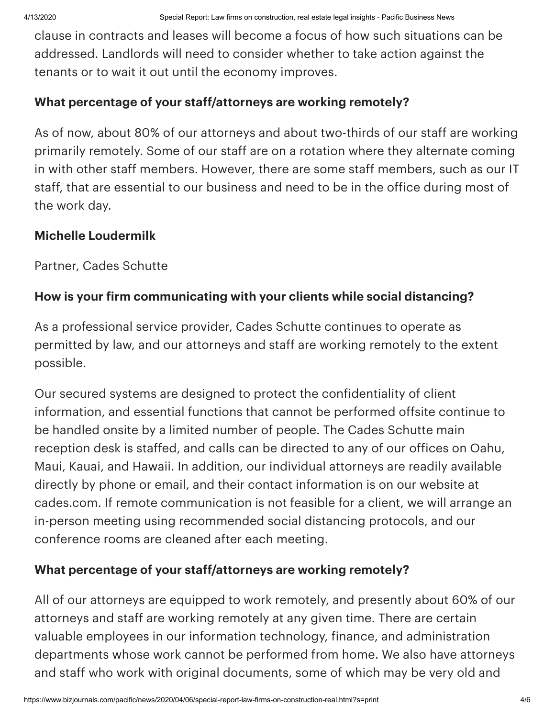clause in contracts and leases will become a focus of how such situations can be addressed. Landlords will need to consider whether to take action against the tenants or to wait it out until the economy improves.

#### **What percentage of your staff/attorneys are working remotely?**

As of now, about 80% of our attorneys and about two-thirds of our staff are working primarily remotely. Some of our staff are on a rotation where they alternate coming in with other staff members. However, there are some staff members, such as our IT staff, that are essential to our business and need to be in the office during most of the work day.

## **Michelle Loudermilk**

Partner, Cades Schutte

# **How is your firm communicating with your clients while social distancing?**

As a professional service provider, Cades Schutte continues to operate as permitted by law, and our attorneys and staff are working remotely to the extent possible.

Our secured systems are designed to protect the confidentiality of client information, and essential functions that cannot be performed offsite continue to be handled onsite by a limited number of people. The Cades Schutte main reception desk is staffed, and calls can be directed to any of our offices on Oahu, Maui, Kauai, and Hawaii. In addition, our individual attorneys are readily available directly by phone or email, and their contact information is on our website at cades.com. If remote communication is not feasible for a client, we will arrange an in-person meeting using recommended social distancing protocols, and our conference rooms are cleaned after each meeting.

# **What percentage of your staff/attorneys are working remotely?**

All of our attorneys are equipped to work remotely, and presently about 60% of our attorneys and staff are working remotely at any given time. There are certain valuable employees in our information technology, finance, and administration departments whose work cannot be performed from home. We also have attorneys and staff who work with original documents, some of which may be very old and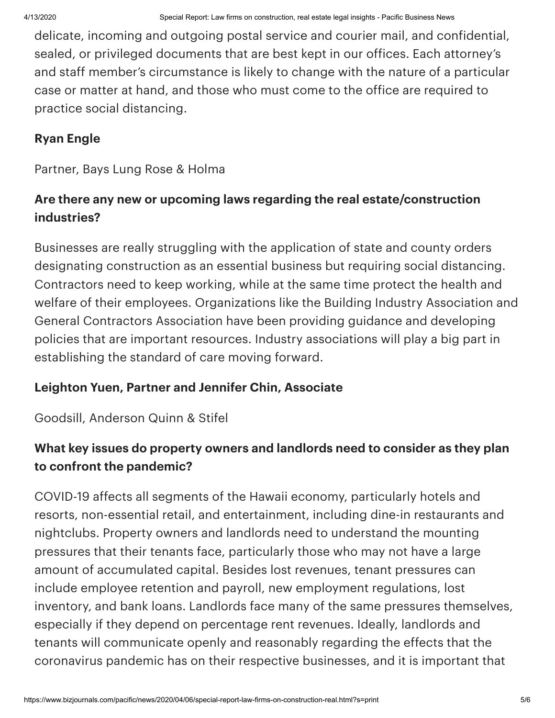delicate, incoming and outgoing postal service and courier mail, and confidential, sealed, or privileged documents that are best kept in our offices. Each attorney's and staff member's circumstance is likely to change with the nature of a particular case or matter at hand, and those who must come to the office are required to practice social distancing.

## **Ryan Engle**

Partner, Bays Lung Rose & Holma

# **Are there any new or upcoming laws regarding the real estate/construction industries?**

Businesses are really struggling with the application of state and county orders designating construction as an essential business but requiring social distancing. Contractors need to keep working, while at the same time protect the health and welfare of their employees. Organizations like the Building Industry Association and General Contractors Association have been providing guidance and developing policies that are important resources. Industry associations will play a big part in establishing the standard of care moving forward.

## **Leighton Yuen, Partner and Jennifer Chin, Associate**

Goodsill, Anderson Quinn & Stifel

# **What key issues do property owners and landlords need to consider as they plan to confront the pandemic?**

COVID-19 affects all segments of the Hawaii economy, particularly hotels and resorts, non-essential retail, and entertainment, including dine-in restaurants and nightclubs. Property owners and landlords need to understand the mounting pressures that their tenants face, particularly those who may not have a large amount of accumulated capital. Besides lost revenues, tenant pressures can include employee retention and payroll, new employment regulations, lost inventory, and bank loans. Landlords face many of the same pressures themselves, especially if they depend on percentage rent revenues. Ideally, landlords and tenants will communicate openly and reasonably regarding the effects that the coronavirus pandemic has on their respective businesses, and it is important that